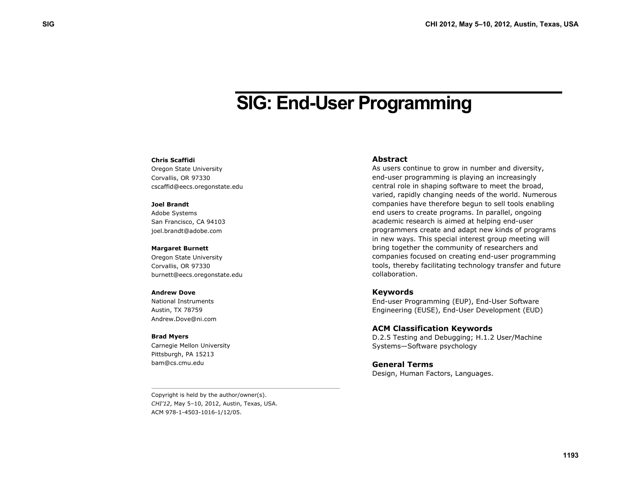# **SIG: End-User Programming**

### **Chris Scaffidi**

Oregon State University Corvallis, OR 97330 cscaffid@eecs.oregonstate.edu

#### **Joel Brandt**

Adobe Systems San Francisco, CA 94103 joel.brandt@adobe.com

#### **Margaret Burnett**

Oregon State University Corvallis, OR 97330 burnett@eecs.oregonstate.edu

#### **Andrew Dove**

National Instruments Austin, TX 78759 Andrew.Dove@ni.com

#### **Brad Myers**

Carnegie Mellon University Pittsburgh, PA 15213 bam@cs.cmu.edu

#### **Abstract**

As users continue to grow in number and diversity, end-user programming is playing an increasingly central role in shaping software to meet the broad, varied, rapidly changing needs of the world. Numerous companies have therefore begun to sell tools enabling end users to create programs. In parallel, ongoing academic research is aimed at helping end-user programmers create and adapt new kinds of programs in new ways. This special interest group meeting will bring together the community of researchers and companies focused on creating end-user programming tools, thereby facilitating technology transfer and future collaboration.

#### **Keywords**

End-user Programming (EUP), End-User Software Engineering (EUSE), End-User Development (EUD)

### **ACM Classification Keywords**

D.2.5 Testing and Debugging; H.1.2 User/Machine Systems—Software psychology

## **General Terms**

Design, Human Factors, Languages.

Copyright is held by the author/owner(s). *CHI'12*, May 5–10, 2012, Austin, Texas, USA. ACM 978-1-4503-1016-1/12/05.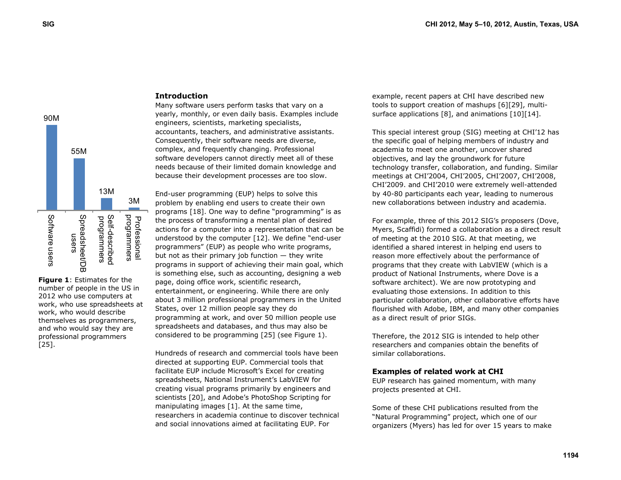

**Figure 1**: Estimates for the number of people in the US in 2012 who use computers at work, who use spreadsheets at work, who would describe themselves as programmers, and who would say they are professional programmers [25].

## **Introduction**

Many software users perform tasks that vary on a yearly, monthly, or even daily basis. Examples include engineers, scientists, marketing specialists, accountants, teachers, and administrative assistants. Consequently, their software needs are diverse, complex, and frequently changing. Professional software developers cannot directly meet all of these needs because of their limited domain knowledge and because their development processes are too slow.

End-user programming (EUP) helps to solve this problem by enabling end users to create their own programs [18]. One way to define "programming" is as the process of transforming a mental plan of desired actions for a computer into a representation that can be understood by the computer [12]. We define "end-user programmers" (EUP) as people who write programs, but not as their primary job function — they write programs in support of achieving their main goal, which is something else, such as accounting, designing a web page, doing office work, scientific research, entertainment, or engineering. While there are only about 3 million professional programmers in the United States, over 12 million people say they do programming at work, and over 50 million people use spreadsheets and databases, and thus may also be considered to be programming [25] (see Figure 1).

Hundreds of research and commercial tools have been directed at supporting EUP. Commercial tools that facilitate EUP include Microsoft's Excel for creating spreadsheets, National Instrument's LabVIEW for creating visual programs primarily by engineers and scientists [20], and Adobe's PhotoShop Scripting for manipulating images [1]. At the same time, researchers in academia continue to discover technical and social innovations aimed at facilitating EUP. For

example, recent papers at CHI have described new tools to support creation of mashups [6][29], multisurface applications [8], and animations [10][14].

This special interest group (SIG) meeting at CHI'12 has the specific goal of helping members of industry and academia to meet one another, uncover shared objectives, and lay the groundwork for future technology transfer, collaboration, and funding. Similar meetings at CHI'2004, CHI'2005, CHI'2007, CHI'2008, CHI'2009. and CHI'2010 were extremely well-attended by 40-80 participants each year, leading to numerous new collaborations between industry and academia.

For example, three of this 2012 SIG's proposers (Dove, Myers, Scaffidi) formed a collaboration as a direct result of meeting at the 2010 SIG. At that meeting, we identified a shared interest in helping end users to reason more effectively about the performance of programs that they create with LabVIEW (which is a product of National Instruments, where Dove is a software architect). We are now prototyping and evaluating those extensions. In addition to this particular collaboration, other collaborative efforts have flourished with Adobe, IBM, and many other companies as a direct result of prior SIGs.

Therefore, the 2012 SIG is intended to help other researchers and companies obtain the benefits of similar collaborations.

## **Examples of related work at CHI**

EUP research has gained momentum, with many projects presented at CHI.

Some of these CHI publications resulted from the "Natural Programming" project, which one of our organizers (Myers) has led for over 15 years to make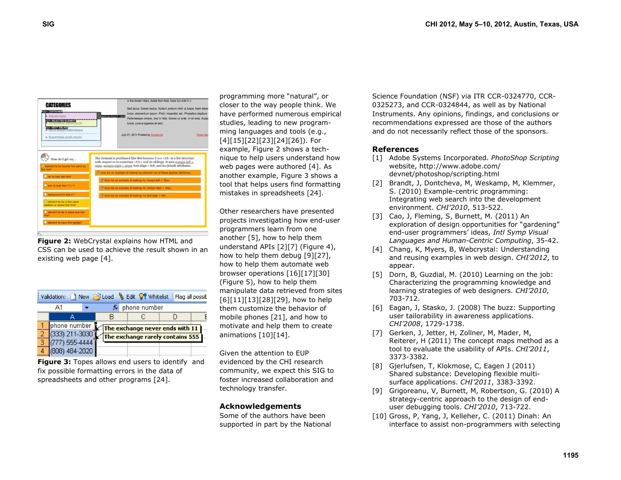

**Figure 2:** WebCrystal explains how HTML and CSS can be used to achieve the result shown in an existing web page [4].

|   | : Validation:  |  |                  | New G Load & Edit & Whitelist    |  | Flag all possit |  |
|---|----------------|--|------------------|----------------------------------|--|-----------------|--|
|   | А1             |  | $f_{\mathbf{x}}$ | phone number                     |  |                 |  |
|   |                |  |                  |                                  |  |                 |  |
|   | phone number   |  |                  | The exchange never ends with 11  |  |                 |  |
|   | (333) 211-3030 |  |                  | The exchange rarely contains 555 |  |                 |  |
| з | (777) 555-4444 |  |                  |                                  |  |                 |  |
|   | (808) 484-2020 |  |                  |                                  |  |                 |  |
|   |                |  |                  |                                  |  |                 |  |

**Figure 3:** Topes allows end users to identify and fix possible formatting errors in the data of spreadsheets and other programs [24].

programming more "natural", or closer to the way people think. We have performed numerous empirical studies, leading to new programming languages and tools (e.g., [4][15][22][23][24][26]). For example, Figure 2 shows a technique to help users understand how web pages were authored [4]. As another example, Figure 3 shows a tool that helps users find formatting mistakes in spreadsheets [24].

Other researchers have presented projects investigating how end-user programmers learn from one another [5], how to help them understand APIs [2][7] (Figure 4), how to help them debug [9][27], how to help them automate web browser operations [16][17][30] (Figure 5), how to help them manipulate data retrieved from sites [6][11][13][28][29], how to help them customize the behavior of mobile phones [21], and how to motivate and help them to create animations [10][14].

Given the attention to EUP evidenced by the CHI research community, we expect this SIG to foster increased collaboration and technology transfer.

## **Acknowledgements**

Some of the authors have been supported in part by the National Science Foundation (NSF) via ITR CCR-0324770, CCR-0325273, and CCR-0324844, as well as by National Instruments. Any opinions, findings, and conclusions or recommendations expressed are those of the authors and do not necessarily reflect those of the sponsors.

## **References**

- [1] Adobe Systems Incorporated. *PhotoShop Scripting* website, http://www.adobe.com/ devnet/photoshop/scripting.html
- [2] Brandt, J. Dontcheva, M. Weskamp, M. Klemmer, S. (2010) Example-centric programming: Integrating web search into the development environment. *CHI'2010*, 513-522.
- [3] Cao, J, Fleming, S, Burnett, M. (2011) An exploration of design opportunities for "gardening" end-user programmers' ideas, *Intl Symp Visual Languages and Human-Centric Computing*, 35-42.
- [4] Chang, K, Myers, B, Webcrystal: Understanding and reusing examples in web design. *CHI'2012*, to appear.
- [5] Dorn, B, Guzdial, M. (2010) Learning on the job: Characterizing the programming knowledge and learning strategies of web designers. *CHI'2010*, 703-712.
- [6] Eagan, J, Stasko, J. (2008) The buzz: Supporting user tailorability in awareness applications. *CHI'2008*, 1729-1738.
- [7] Gerken, J, Jetter, H, Zollner, M, Mader, M, Reiterer, H (2011) The concept maps method as a tool to evaluate the usability of APIs. *CHI'2011*, 3373-3382.
- [8] Gjerlufsen, T, Klokmose, C, Eagen J (2011) Shared substance: Developing flexible multisurface applications. *CHI'2011*, 3383-3392.
- [9] Grigoreanu, V, Burnett, M, Robertson, G. (2010) A strategy-centric approach to the design of enduser debugging tools. *CHI'2010*, 713-722.
- [10] Gross, P, Yang, J, Kelleher, C. (2011) Dinah: An interface to assist non-programmers with selecting